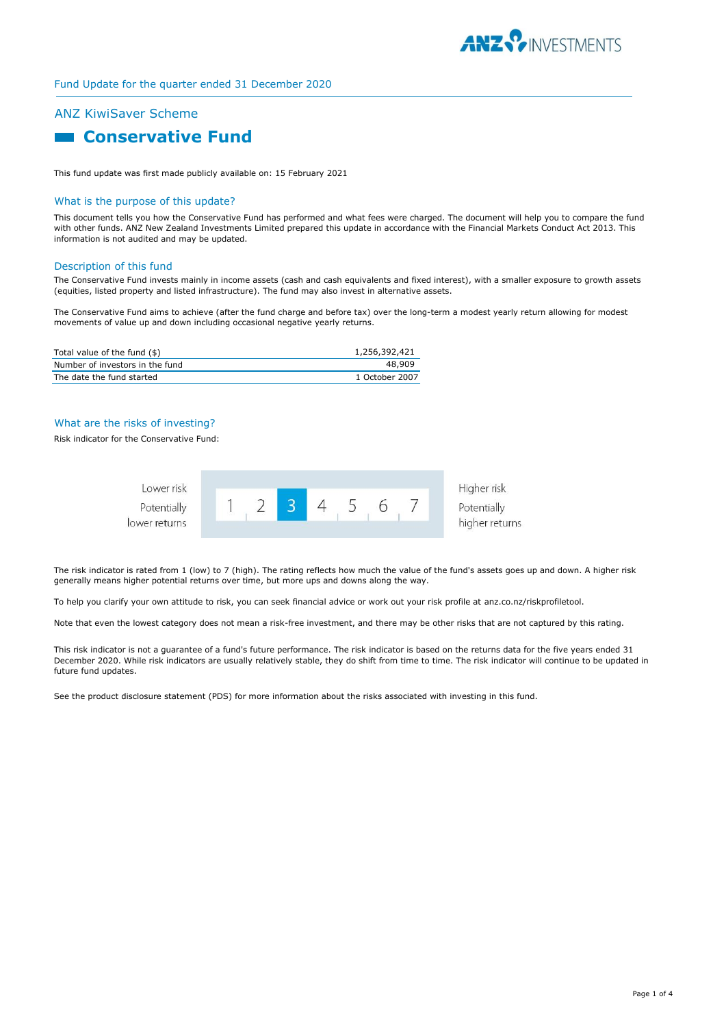

## Fund Update for the quarter ended 31 December 2020

# ANZ KiwiSaver Scheme

# **Conservative Fund**

This fund update was first made publicly available on: 15 February 2021

#### What is the purpose of this update?

This document tells you how the Conservative Fund has performed and what fees were charged. The document will help you to compare the fund with other funds. ANZ New Zealand Investments Limited prepared this update in accordance with the Financial Markets Conduct Act 2013. This information is not audited and may be updated.

#### Description of this fund

The Conservative Fund invests mainly in income assets (cash and cash equivalents and fixed interest), with a smaller exposure to growth assets (equities, listed property and listed infrastructure). The fund may also invest in alternative assets.

The Conservative Fund aims to achieve (after the fund charge and before tax) over the long-term a modest yearly return allowing for modest movements of value up and down including occasional negative yearly returns.

| Total value of the fund (\$)    | 1,256,392,421  |
|---------------------------------|----------------|
| Number of investors in the fund | 48.909         |
| The date the fund started       | 1 October 2007 |

#### What are the risks of investing?

Risk indicator for the Conservative Fund:



The risk indicator is rated from 1 (low) to 7 (high). The rating reflects how much the value of the fund's assets goes up and down. A higher risk generally means higher potential returns over time, but more ups and downs along the way.

To help you clarify your own attitude to risk, you can seek financial advice or work out your risk profile at anz.co.nz/riskprofiletool.

Note that even the lowest category does not mean a risk-free investment, and there may be other risks that are not captured by this rating.

This risk indicator is not a guarantee of a fund's future performance. The risk indicator is based on the returns data for the five years ended 31 December 2020. While risk indicators are usually relatively stable, they do shift from time to time. The risk indicator will continue to be updated in future fund updates.

See the product disclosure statement (PDS) for more information about the risks associated with investing in this fund.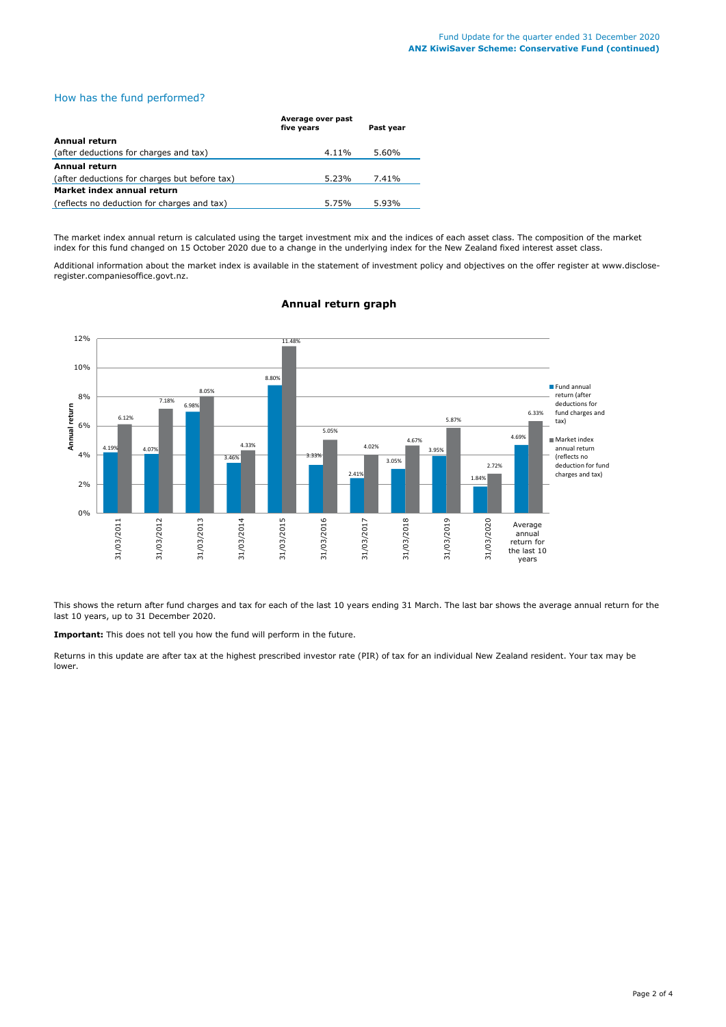## How has the fund performed?

|                                               | Average over past<br>five years | Past year |  |
|-----------------------------------------------|---------------------------------|-----------|--|
| Annual return                                 |                                 |           |  |
| (after deductions for charges and tax)        | 4.11%                           | 5.60%     |  |
| Annual return                                 |                                 |           |  |
| (after deductions for charges but before tax) | 5.23%                           | 7.41%     |  |
| Market index annual return                    |                                 |           |  |
| (reflects no deduction for charges and tax)   | 5.75%                           | 5.93%     |  |

The market index annual return is calculated using the target investment mix and the indices of each asset class. The composition of the market index for this fund changed on 15 October 2020 due to a change in the underlying index for the New Zealand fixed interest asset class.

Additional information about the market index is available in the statement of investment policy and objectives on the offer register at www.discloseregister.companiesoffice.govt.nz.



## **Annual return graph**

This shows the return after fund charges and tax for each of the last 10 years ending 31 March. The last bar shows the average annual return for the last 10 years, up to 31 December 2020.

**Important:** This does not tell you how the fund will perform in the future.

Returns in this update are after tax at the highest prescribed investor rate (PIR) of tax for an individual New Zealand resident. Your tax may be lower.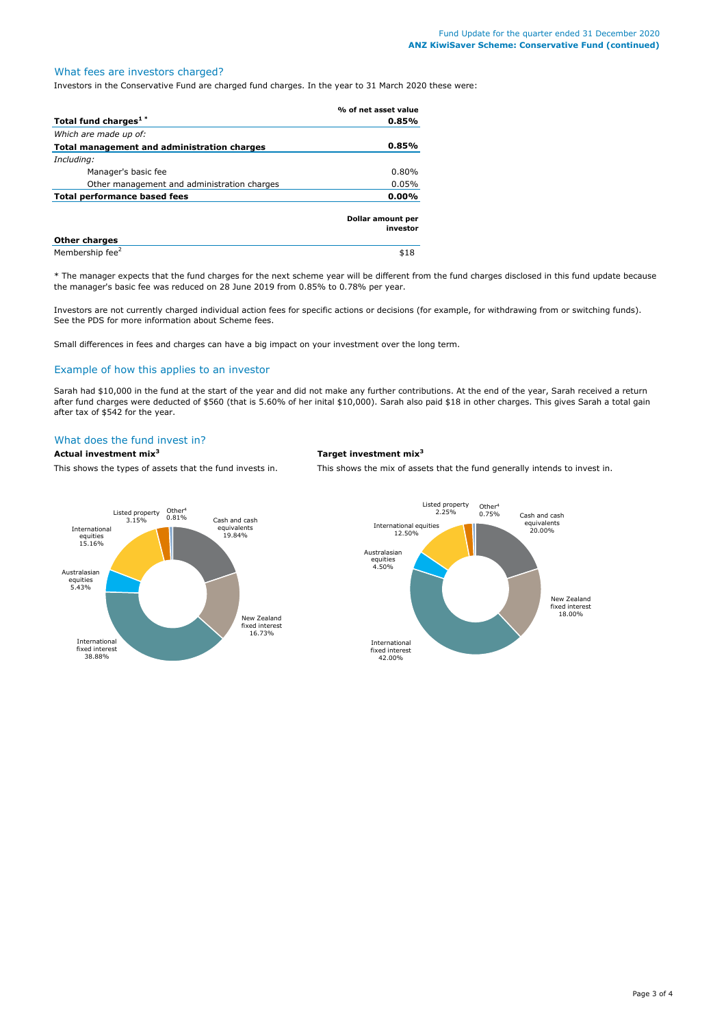## What fees are investors charged?

Investors in the Conservative Fund are charged fund charges. In the year to 31 March 2020 these were:

|                                             | % of net asset value          |
|---------------------------------------------|-------------------------------|
| Total fund charges <sup>1*</sup>            | 0.85%                         |
| Which are made up of:                       |                               |
| Total management and administration charges | 0.85%                         |
| Including:                                  |                               |
| Manager's basic fee                         | 0.80%                         |
| Other management and administration charges | 0.05%                         |
| <b>Total performance based fees</b>         | $0.00\%$                      |
|                                             | Dollar amount per<br>investor |
| <b>Other charges</b>                        |                               |
| Membership fee <sup>2</sup>                 | \$18                          |

\* The manager expects that the fund charges for the next scheme year will be different from the fund charges disclosed in this fund update because the manager's basic fee was reduced on 28 June 2019 from 0.85% to 0.78% per year.

Investors are not currently charged individual action fees for specific actions or decisions (for example, for withdrawing from or switching funds). See the PDS for more information about Scheme fees.

Small differences in fees and charges can have a big impact on your investment over the long term.

#### Example of how this applies to an investor

Sarah had \$10,000 in the fund at the start of the year and did not make any further contributions. At the end of the year, Sarah received a return after fund charges were deducted of \$560 (that is 5.60% of her inital \$10,000). Sarah also paid \$18 in other charges. This gives Sarah a total gain after tax of \$542 for the year.

## What does the fund invest in?

## **Actual investment mix<sup>3</sup> Target investment mix<sup>3</sup>**